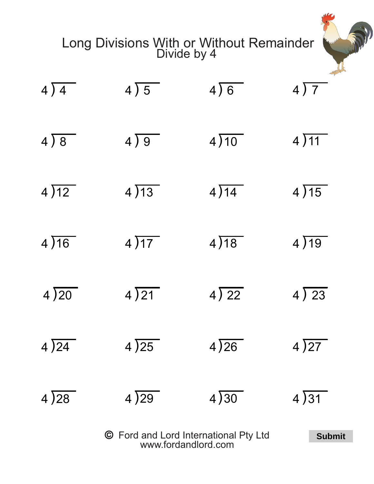| Long Divisions With or Without Remainder<br>Divide by 4 |                  |                           |              |  |  |
|---------------------------------------------------------|------------------|---------------------------|--------------|--|--|
| 4)4                                                     | $4\overline{)5}$ | $4\overline{)6}$          | 4)7          |  |  |
| 4)8                                                     | 4)9              | 4)10                      | 4)11         |  |  |
| 4)12                                                    | 4)13             | 4)14                      | 4)15         |  |  |
| 4)16                                                    | 4)17             | 4)18                      | 4)19         |  |  |
| 4)20                                                    | 4)21             | $4\overline{\smash{)}22}$ | $4\sqrt{23}$ |  |  |
| 4)24                                                    | 4)25             | 4)26                      | 4)27         |  |  |
| 4)28                                                    | 4)29             | 4)30                      | 4)31         |  |  |
| © Ford and Lord International Pty Ltd                   | <b>Submit</b>    |                           |              |  |  |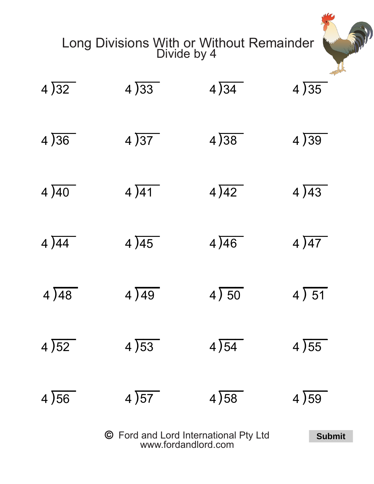| Long Divisions With or Without Remainder<br>Divide by 4 |               |      |      |  |  |
|---------------------------------------------------------|---------------|------|------|--|--|
| 4)32                                                    | 4)33          | 4)34 | 4)35 |  |  |
| 4)36                                                    | 4)37          | 4)38 | 4)39 |  |  |
| 4)40                                                    | 4)41          | 4)42 | 4)43 |  |  |
| 4)44                                                    | 4)45          | 4)46 | 4)47 |  |  |
| 4)48                                                    | 4)49          | 4)50 | 4)51 |  |  |
| 4)52                                                    | 4)53          | 4)54 | 4)55 |  |  |
| 4 56                                                    | 4)57          | 4)58 | 4)59 |  |  |
| © Ford and Lord International Pty Ltd                   | <b>Submit</b> |      |      |  |  |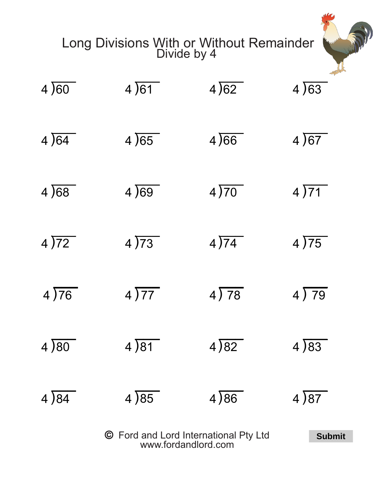| Long Divisions With or Without Remainder<br>Divide by 4 |                           |                             |                             |  |  |
|---------------------------------------------------------|---------------------------|-----------------------------|-----------------------------|--|--|
| 4)60                                                    | 4)61                      | 4)62                        | 4)63                        |  |  |
| 4)64                                                    | 4)65                      | 4)66                        | 4)67                        |  |  |
| 4)68                                                    | 4)69                      | 4)70                        | 4)71                        |  |  |
| 4)72                                                    | 4)73                      | 4)74                        | 4)75                        |  |  |
| 4)76                                                    | $4\overline{\smash{)}77}$ | $4\overline{\smash{)}\ 78}$ | $4\overline{\smash{)}\ 79}$ |  |  |
| 4)80                                                    | 4)81                      | 4)82                        | 4)83                        |  |  |
| 4)84                                                    | 4)85                      | 4)86                        | 4)87                        |  |  |
| © Ford and Lord International Pty Ltd                   | <b>Submit</b>             |                             |                             |  |  |